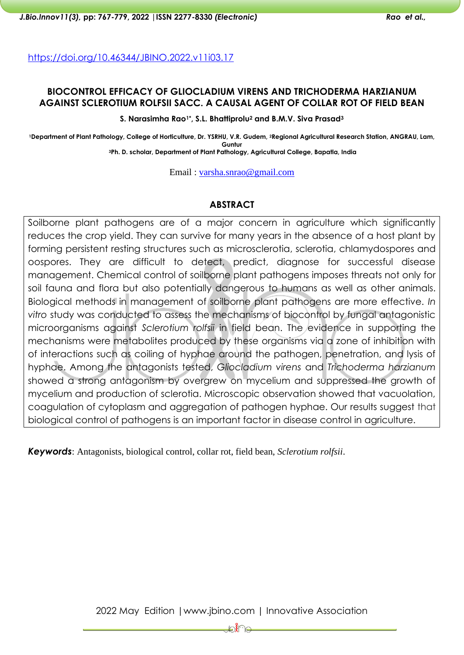<https://doi.org/10.46344/JBINO.2022.v11i03.17>

## **BIOCONTROL EFFICACY OF GLIOCLADIUM VIRENS AND TRICHODERMA HARZIANUM AGAINST SCLEROTIUM ROLFSII SACC. A CAUSAL AGENT OF COLLAR ROT OF FIELD BEAN**

**S. Narasimha Rao1\*, S.L. Bhattiprolu<sup>2</sup> and B.M.V. Siva Prasad<sup>3</sup>**

**<sup>1</sup>Department of Plant Pathology, College of Horticulture, Dr. YSRHU, V.R. Gudem, 2Regional Agricultural Research Station, ANGRAU, Lam, Guntur <sup>3</sup>Ph. D. scholar, Department of Plant Pathology, Agricultural College, Bapatla, India**

Email : [varsha.snrao@gmail.com](mailto:varsha.snrao@gmail.com)

## **ABSTRACT**

Soilborne plant pathogens are of a major concern in agriculture which significantly reduces the crop yield. They can survive for many years in the absence of a host plant by forming persistent resting structures such as microsclerotia, sclerotia, chlamydospores and oospores. They are difficult to detect, predict, diagnose for successful disease management. Chemical control of soilborne plant pathogens imposes threats not only for soil fauna and flora but also potentially dangerous to humans as well as other animals. Biological methods in management of soilborne plant pathogens are more effective. *In vitro* study was conducted to assess the mechanisms of biocontrol by fungal antagonistic microorganisms against *Sclerotium rolfsii* in field bean. The evidence in supporting the mechanisms were metabolites produced by these organisms via a zone of inhibition with of interactions such as coiling of hyphae around the pathogen, penetration, and lysis of hyphae. Among the antagonists tested, *Gliocladium virens* and *Trichoderma harzianum* showed a strong antagonism by overgrew on mycelium and suppressed the growth of mycelium and production of sclerotia. Microscopic observation showed that vacuolation, coagulation of cytoplasm and aggregation of pathogen hyphae. Our results suggest that biological control of pathogens is an important factor in disease control in agriculture.

*Keywords*: Antagonists, biological control, collar rot, field bean, *Sclerotium rolfsii*.

2022 May Edition |www.jbino.com | Innovative Association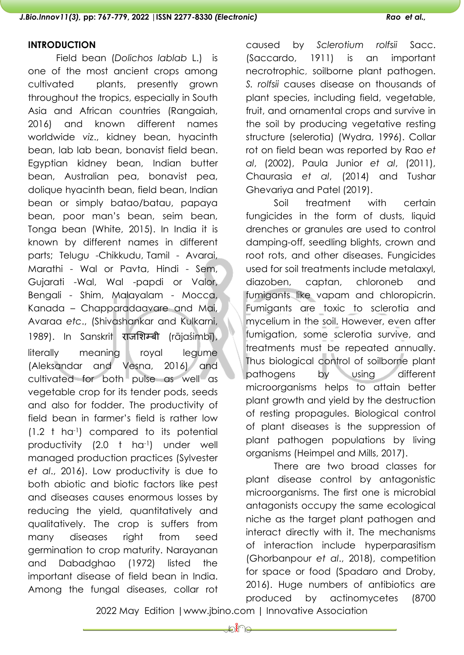#### **INTRODUCTION**

Field bean (*Dolichos lablab* L.) is one of the most ancient crops among cultivated plants, presently grown throughout the tropics, especially in South Asia and African countries (Rangaiah, 2016) and known different names worldwide *viz*., kidney bean, hyacinth bean, lab lab bean, bonavist field bean. Egyptian kidney bean, Indian butter bean, Australian pea, bonavist pea, dolique hyacinth bean, field bean, Indian bean or simply batao/batau, papaya bean, poor man's bean, seim bean, Tonga bean (White, 2015). In India it is known by different names in different parts; Telugu -Chikkudu, Tamil - Avarai, Marathi - Wal or Pavta, Hindi - Sem, Gujarati -Wal, Wal -papdi or Valor, Bengali - Shim, Malayalam - Mocca, Kanada – Chapparadaavare and Mai, Avaraa *etc*., (Shivashankar and Kulkarni, 1989). In Sanskrit राजशिम्बी (rājaśimbī), literally meaning royal legume (Aleksandar and Vesna, 2016) and cultivated for both pulse as well as vegetable crop for its tender pods, seeds and also for fodder. The productivity of field bean in farmer's field is rather low (1.2 t ha-1) compared to its potential productivity (2.0 t ha-1) under well managed production practices (Sylvester *et al*., 2016). Low productivity is due to both abiotic and biotic factors like pest and diseases causes enormous losses by reducing the yield, quantitatively and qualitatively. The crop is suffers from many diseases right from seed germination to crop maturity. Narayanan and Dabadghao (1972) listed the important disease of field bean in India. Among the fungal diseases, collar rot

caused by *Sclerotium rolfsii* Sacc. (Saccardo, 1911) is an important necrotrophic, soilborne plant pathogen. *S. rolfsii* causes disease on thousands of plant species, including field, vegetable, fruit, and ornamental crops and survive in the soil by producing vegetative resting structure (selerotia) (Wydra, 1996). Collar rot on field bean was reported by Rao *et al*, (2002), Paula Junior *et al*, (2011), Chaurasia *et al*, (2014) and Tushar Ghevariya and Patel (2019).

Soil treatment with certain fungicides in the form of dusts, liquid drenches or granules are used to control damping-off, seedling blights, crown and root rots, and other diseases. Fungicides used for soil treatments include metalaxyl, diazoben, captan, chloroneb and fumigants like vapam and chloropicrin. Fumigants are toxic to sclerotia and mycelium in the soil. However, even after fumigation, some sclerotia survive, and treatments must be repeated annually. Thus biological control of soilborne plant pathogens by using different microorganisms helps to attain better plant growth and yield by the destruction of resting propagules. Biological control of plant diseases is the suppression of plant pathogen populations by living organisms (Heimpel and Mills, 2017).

There are two broad classes for plant disease control by antagonistic microorganisms. The first one is microbial antagonists occupy the same ecological niche as the target plant pathogen and interact directly with it. The mechanisms of interaction include hyperparasitism (Ghorbanpour *et al*., 2018), competition for space or food (Spadaro and Droby, 2016). Huge numbers of antibiotics are produced by actinomycetes (8700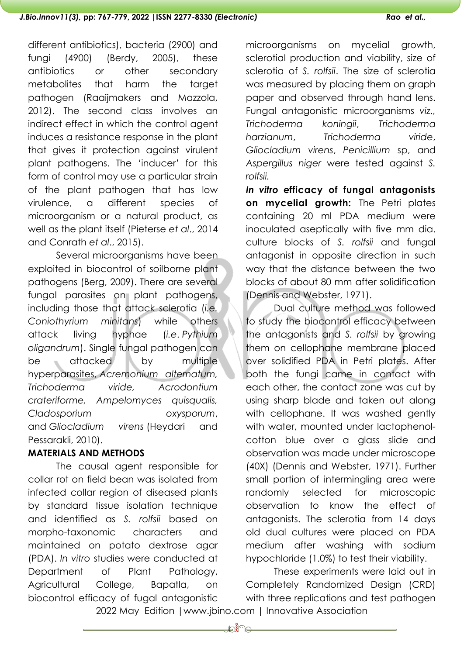different antibiotics), bacteria (2900) and fungi (4900) (Berdy, 2005), these antibiotics or other secondary metabolites that harm the target pathogen (Raaijmakers and Mazzola, 2012). The second class involves an indirect effect in which the control agent induces a resistance response in the plant that gives it protection against virulent plant pathogens. The 'inducer' for this form of control may use a particular strain of the plant pathogen that has low virulence, a different species of microorganism or a natural product, as well as the plant itself (Pieterse *et al*., 2014 and Conrath *et al*., 2015).

Several microorganisms have been exploited in biocontrol of soilborne plant pathogens (Berg, 2009). There are several fungal parasites on plant pathogens, including those that attack sclerotia (*i.e. Coniothyrium minitans*) while others attack living hyphae (*i.e*. *Pythium oligandrum*). Single fungal pathogen can be attacked by multiple hyperparasites, *Acremonium alternatum, Trichoderma viride, Acrodontium crateriforme, Ampelomyces quisqualis, Cladosporium oxysporum*, and *Gliocladium virens* (Heydari and Pessarakli, 2010).

## **MATERIALS AND METHODS**

The causal agent responsible for collar rot on field bean was isolated from infected collar region of diseased plants by standard tissue isolation technique and identified as *S. rolfsii* based on morpho-taxonomic characters and maintained on potato dextrose agar (PDA). *In vitro* studies were conducted at Department of Plant Pathology, Agricultural College, Bapatla, on biocontrol efficacy of fugal antagonistic

microorganisms on mycelial growth, sclerotial production and viability, size of sclerotia of *S. rolfsii*. The size of sclerotia was measured by placing them on graph paper and observed through hand lens. Fungal antagonistic microorganisms *viz., Trichoderma koningii*, *Trichoderma harzianum*, *Trichoderma viride*, *Gliocladium virens*, *Penicillium* sp, and *Aspergillus niger* were tested against *S. rolfsii.*

*In vitro* **efficacy of fungal antagonists on mycelial growth:** The Petri plates containing 20 ml PDA medium were inoculated aseptically with five mm dia. culture blocks of *S. rolfsii* and fungal antagonist in opposite direction in such way that the distance between the two blocks of about 80 mm after solidification (Dennis and Webster, 1971).

Dual culture method was followed to study the biocontrol efficacy between the antagonists and *S. rolfsii* by growing them on cellophane membrane placed over solidified PDA in Petri plates. After both the fungi came in contact with each other, the contact zone was cut by using sharp blade and taken out along with cellophane. It was washed gently with water, mounted under lactophenolcotton blue over a glass slide and observation was made under microscope (40X) (Dennis and Webster, 1971). Further small portion of intermingling area were randomly selected for microscopic observation to know the effect of antagonists. The sclerotia from 14 days old dual cultures were placed on PDA medium after washing with sodium hypochloride (1.0%) to test their viability.

2022 May Edition |www.jbino.com | Innovative Association These experiments were laid out in Completely Randomized Design (CRD) with three replications and test pathogen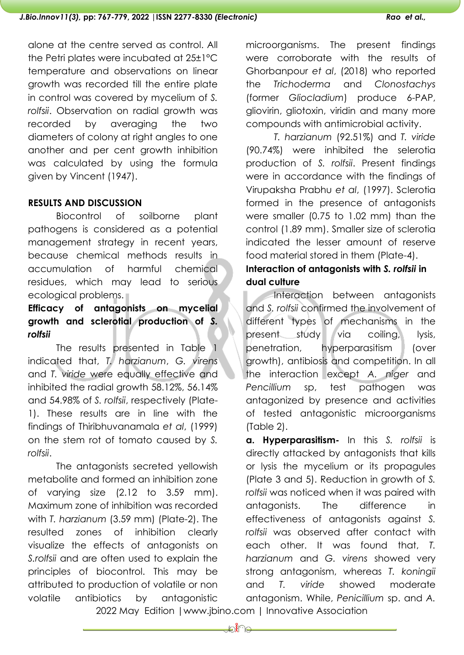alone at the centre served as control. All the Petri plates were incubated at 25±1°C temperature and observations on linear growth was recorded till the entire plate in control was covered by mycelium of *S. rolfsii*. Observation on radial growth was recorded by averaging the two diameters of colony at right angles to one another and per cent growth inhibition was calculated by using the formula given by Vincent (1947).

# **RESULTS AND DISCUSSION**

Biocontrol of soilborne plant pathogens is considered as a potential management strategy in recent years, because chemical methods results in accumulation of harmful chemical residues, which may lead to serious ecological problems.

# **Efficacy of antagonists on mycelial growth and sclerotial production of** *S. rolfsii*

The results presented in Table 1 indicated that, *T. harzianum*, *G. virens* and *T. viride* were equally effective and inhibited the radial growth 58.12%, 56.14% and 54.98% of *S. rolfsii*, respectively (Plate-1). These results are in line with the findings of Thiribhuvanamala *et al*, (1999) on the stem rot of tomato caused by *S. rolfsii*.

The antagonists secreted yellowish metabolite and formed an inhibition zone of varying size (2.12 to 3.59 mm). Maximum zone of inhibition was recorded with *T. harzianum* (3.59 mm) (Plate-2). The resulted zones of inhibition clearly visualize the effects of antagonists on *S.rolfsii* and are often used to explain the principles of biocontrol. This may be attributed to production of volatile or non volatile antibiotics by antagonistic

microorganisms. The present findings were corroborate with the results of Ghorbanpour *et al*, (2018) who reported the *Trichoderma* and *Clonostachys* (former *Gliocladium*) produce 6-PAP, gliovirin, gliotoxin, viridin and many more compounds with antimicrobial activity.

*T. harzianum* (92.51%) and *T. viride* (90.74%) were inhibited the selerotia production of *S. rolfsii*. Present findings were in accordance with the findings of Virupaksha Prabhu *et al*, (1997). Sclerotia formed in the presence of antagonists were smaller (0.75 to 1.02 mm) than the control (1.89 mm). Smaller size of sclerotia indicated the lesser amount of reserve food material stored in them (Plate-4).

# **Interaction of antagonists with** *S. rolfsii* **in dual culture**

Interaction between antagonists and *S. rolfsii* confirmed the involvement of different types of mechanisms in the present study via coiling, lysis, penetration, hyperparasitism (over growth), antibiosis and competition. In all the interaction except *A. niger* and *Pencillium* sp, test pathogen was antagonized by presence and activities of tested antagonistic microorganisms (Table 2).

**a. Hyperparasitism-** In this *S. rolfsii* is directly attacked by antagonists that kills or lysis the mycelium or its propagules (Plate 3 and 5). Reduction in growth of *S. rolfsii* was noticed when it was paired with antagonists. The difference in effectiveness of antagonists against *S. rolfsii* was observed after contact with each other. It was found that, *T. harzianum* and *G. virens* showed very strong antagonism, whereas *T. koningii* and *T. viride* showed moderate antagonism. While, *Penicillium* sp. and *A.*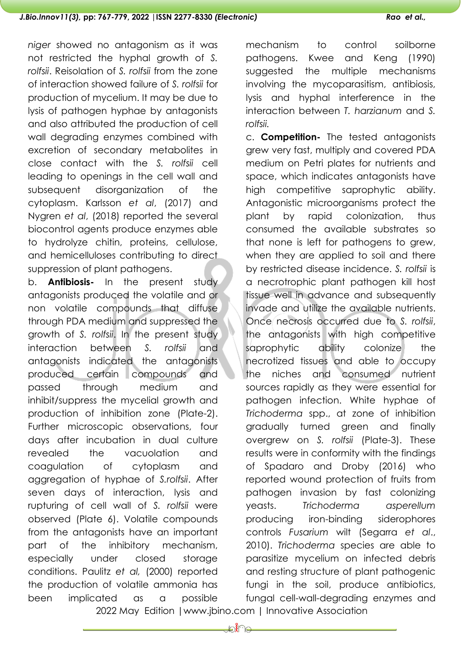*niger* showed no antagonism as it was not restricted the hyphal growth of *S. rolfsii*. Reisolation of *S. rolfsii* from the zone of interaction showed failure of *S. rolfsii* for production of mycelium. It may be due to lysis of pathogen hyphae by antagonists and also attributed the production of cell wall degrading enzymes combined with excretion of secondary metabolites in close contact with the *S. rolfsii* cell leading to openings in the cell wall and subsequent disorganization of the cytoplasm. Karlsson *et al*, (2017) and Nygren *et al*, (2018) reported the several biocontrol agents produce enzymes able to hydrolyze chitin, proteins, cellulose, and hemicelluloses contributing to direct suppression of plant pathogens.

b. **Antibiosis-** In the present study antagonists produced the volatile and or non volatile compounds that diffuse through PDA medium and suppressed the growth of *S. rolfsii*. In the present study interaction between *S. rolfsii* and antagonists indicated the antagonists produced certain compounds and passed through medium and inhibit/suppress the mycelial growth and production of inhibition zone (Plate-2). Further microscopic observations, four days after incubation in dual culture revealed the vacuolation and coagulation of cytoplasm and aggregation of hyphae of *S.rolfsii*. After seven days of interaction, lysis and rupturing of cell wall of *S. rolfsii* were observed (Plate 6). Volatile compounds from the antagonists have an important part of the inhibitory mechanism, especially under closed storage conditions. Paulitz *et al,* (2000) reported the production of volatile ammonia has been implicated as a possible

mechanism to control soilborne pathogens. Kwee and Keng (1990) suggested the multiple mechanisms involving the mycoparasitism, antibiosis, lysis and hyphal interference in the interaction between *T. harzianum* and *S. rolfsii.*

c. **Competition-** The tested antagonists grew very fast, multiply and covered PDA medium on Petri plates for nutrients and space, which indicates antagonists have high competitive saprophytic ability. Antagonistic microorganisms protect the plant by rapid colonization, thus consumed the available substrates so that none is left for pathogens to grew, when they are applied to soil and there by restricted disease incidence. *S. rolfsii* is a necrotrophic plant pathogen kill host tissue well in advance and subsequently invade and utilize the available nutrients. Once necrosis occurred due to *S. rolfsii*, the antagonists with high competitive saprophytic ability colonize the necrotized tissues and able to occupy the niches and consumed nutrient sources rapidly as they were essential for pathogen infection. White hyphae of *Trichoderma* spp., at zone of inhibition gradually turned green and finally overgrew on *S. rolfsii* (Plate-3). These results were in conformity with the findings of Spadaro and Droby (2016) who reported wound protection of fruits from pathogen invasion by fast colonizing yeasts. *Trichoderma asperellum* producing iron-binding siderophores controls *Fusarium* wilt (Segarra *et al*., 2010). *Trichoderma* species are able to parasitize mycelium on infected debris and resting structure of plant pathogenic fungi in the soil, produce antibiotics, fungal cell-wall-degrading enzymes and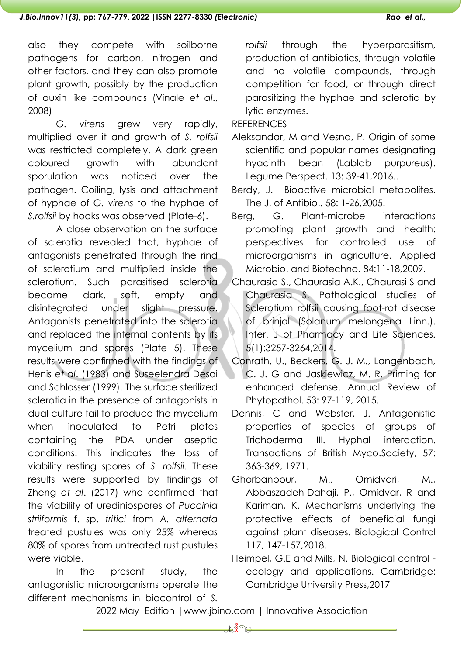also they compete with soilborne pathogens for carbon, nitrogen and other factors, and they can also promote plant growth, possibly by the production of auxin like compounds (Vinale *et al*., 2008)

*G. virens* grew very rapidly, multiplied over it and growth of *S. rolfsii* was restricted completely. A dark green coloured growth with abundant sporulation was noticed over the pathogen. Coiling, lysis and attachment of hyphae of *G. virens* to the hyphae of *S.rolfsii* by hooks was observed (Plate-6).

A close observation on the surface of sclerotia revealed that, hyphae of antagonists penetrated through the rind of sclerotium and multiplied inside the sclerotium. Such parasitised sclerotia became dark, soft, empty and disintegrated under slight pressure. Antagonists penetrated into the sclerotia and replaced the internal contents by its mycelium and spores (Plate 5). These results were confirmed with the findings of Henis *et al*. (1983) and Suseelendra Desai and Schlosser (1999). The surface sterilized sclerotia in the presence of antagonists in dual culture fail to produce the mycelium when inoculated to Petri plates containing the PDA under aseptic conditions. This indicates the loss of viability resting spores of *S. rolfsii.* These results were supported by findings of Zheng *et al*. (2017) who confirmed that the viability of urediniospores of *Puccinia striiformis* f. sp. *tritici* from *A. alternata* treated pustules was only 25% whereas 80% of spores from untreated rust pustules were viable.

In the present study, the antagonistic microorganisms operate the different mechanisms in biocontrol of *S.* 

*rolfsii* through the hyperparasitism, production of antibiotics, through volatile and no volatile compounds, through competition for food, or through direct parasitizing the hyphae and sclerotia by lytic enzymes.

**REFERENCES** 

Aleksandar, M and Vesna, P. Origin of some scientific and popular names designating hyacinth bean (Lablab purpureus). Legume Perspect. 13: 39-41,2016..

Berdy, J. Bioactive microbial metabolites. The J. of Antibio.. 58: 1-26,2005.

- Berg, G. Plant-microbe interactions promoting plant growth and health: perspectives for controlled use of microorganisms in agriculture. Applied Microbio. and Biotechno. 84:11-18,2009.
- Chaurasia S., Chaurasia A.K., Chaurasi S and Chaurasia S. Pathological studies of Sclerotium rolfsii causing foot-rot disease of brinjal (Solanum melongena Linn.). Inter. J of Pharmacy and Life Sciences. 5(1):3257-3264,2014.
- Conrath, U., Beckers, G. J. M., Langenbach, C. J. G and Jaskiewicz, M. R. Priming for enhanced defense. Annual Review of Phytopathol. 53: 97-119, 2015.
- Dennis, C and Webster, J. Antagonistic properties of species of groups of Trichoderma III. Hyphal interaction. Transactions of British Myco.Society, 57: 363-369, 1971.
- Ghorbanpour, M., Omidvari, M., Abbaszadeh-Dahaji, P., Omidvar, R and Kariman, K. Mechanisms underlying the protective effects of beneficial fungi against plant diseases. Biological Control 117, 147-157,2018.
- Heimpel, G.E and Mills, N. Biological control ecology and applications. Cambridge: Cambridge University Press,2017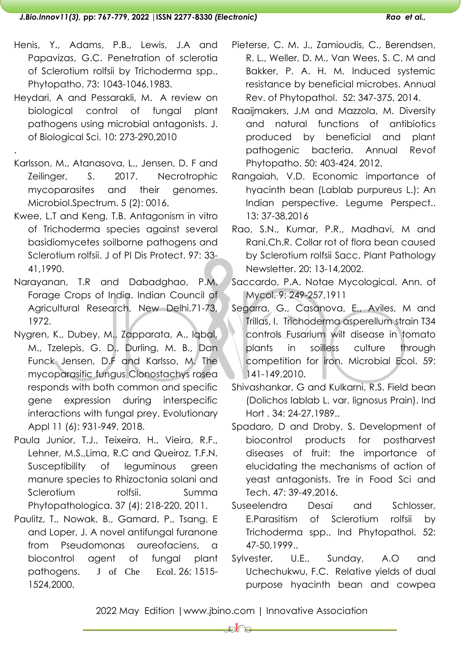- Henis, Y., Adams, P.B., Lewis, J.A and Papavizas, G.C. Penetration of sclerotia of Sclerotium rolfsii by Trichoderma spp., Phytopatho. 73: 1043-1046,1983.
- Heydari, A and Pessarakli, M. [A review on](https://scialert.net/abstract/?doi=jbs.2010.273.290)  [biological control of fungal plant](https://scialert.net/abstract/?doi=jbs.2010.273.290)  [pathogens using microbial antagonists.](https://scialert.net/abstract/?doi=jbs.2010.273.290) J. [of Biological Sci.](https://scialert.net/abstract/?doi=jbs.2010.273.290) 10: 273-290,2010
- Karlsson, M., Atanasova, L., Jensen, D. F and Zeilinger, S. 2017. Necrotrophic mycoparasites and their genomes. Microbiol.Spectrum. 5 (2): 0016.

[.](https://scialert.net/abstract/?doi=jbs.2010.273.290)

- Kwee, L.T and Keng, T.B. Antagonism in vitro of Trichoderma species against several basidiomycetes soilborne pathogens and Sclerotium rolfsii. J of Pl Dis Protect. 97: 33- 41,1990.
- Narayanan, T.R and Dabadghao, P.M. Forage Crops of India. Indian Council of Agricultural Research, New Delhi.71-73, 1972.
- Nygren, K., Dubey, M., Zapparata, A., Iqbal, M., Tzelepis, G. D., Durling, M. B., Dan Funck Jensen, D.F and Karlsso, M. The mycoparasitic fungus Clonostachys rosea responds with both common and specific gene expression during interspecific interactions with fungal prey. Evolutionary Appl 11 (6): 931-949, 2018.
- Paula Junior, T.J., Teixeira, H., Vieira, R.F., Lehner, M.S.,Lima, R.C and Queiroz, T.F.N. Susceptibility of leguminous green manure species to Rhizoctonia solani and Sclerotium rolfsii. Summa Phytopathologica. 37 (4): 218-220, 2011.
- Paulitz, T., Nowak, B., Gamard, P., Tsang, E and Loper, J. A novel antifungal furanone from Pseudomonas aureofaciens, a biocontrol agent of fungal plant pathogens. J [of Che Ecol](https://link.springer.com/journal/10886). 26: 1515- 1524,2000.
- Pieterse, C. M. J., Zamioudis, C., Berendsen, R. L., Weller, D. M., Van Wees, S. C. M and Bakker, P. A. H. M. Induced systemic resistance by beneficial microbes. Annual Rev. of Phytopathol. 52: 347-375, 2014.
- Raaijmakers, J.M and Mazzola, M. Diversity and natural functions of antibiotics produced by beneficial and plant pathogenic bacteria. Annual Revof Phytopatho. 50: 403-424, 2012.
- Rangaiah, V.D. Economic importance of hyacinth bean (Lablab purpureus L.): An Indian perspective. Legume Perspect.. 13: 37-38,2016
- Rao, S.N., Kumar, P.R., Madhavi, M and Rani.Ch.R. Collar rot of flora bean caused by Sclerotium rolfsii Sacc. Plant Pathology Newsletter. 20: 13-14,2002.
- Saccardo, P.A. Notae Mycological. Ann. of Mycol. 9: 249-257,1911
- Segarra, G., Casanova, E., Aviles, M and Trillas, I. Trichoderma asperellum strain T34 controls Fusarium wilt disease in tomato plants in soilless culture through competition for iron. Microbial Ecol. 59: 141-149,2010.
- Shivashankar, G and Kulkarni, R.S. Field bean (Dolichos lablab L. var. lignosus Prain). Ind Hort . 34: 24-27,1989..
- Spadaro, D and Droby, S. Development of biocontrol products for postharvest diseases of fruit: the importance of elucidating the mechanisms of action of yeast antagonists. Tre in Food Sci and Tech. 47: 39-49,2016.
- Suseelendra Desai and Schlosser, E.Parasitism of Sclerotium rolfsii by Trichoderma spp., Ind Phytopathol. 52: 47-50,1999..
- Sylvester, U.E., Sunday, A.O and Uchechukwu, F.C. Relative yields of dual purpose hyacinth bean and cowpea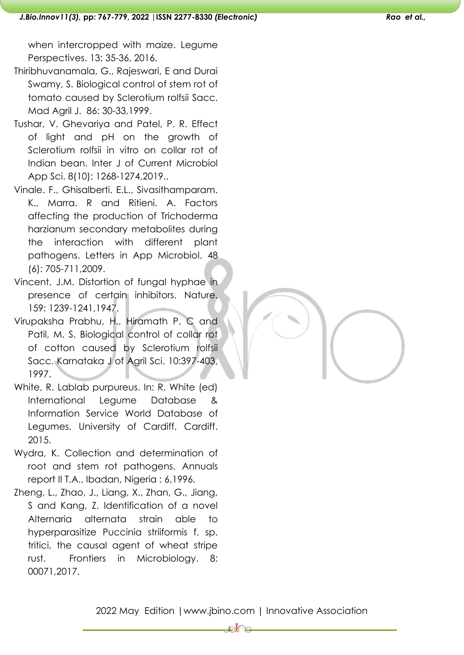when intercropped with maize. Legume Perspectives. 13: 35-36, 2016.

- Thiribhuvanamala, G., Rajeswari, E and Durai Swamy, S. Biological control of stem rot of tomato caused by Sclerotium rolfsii Sacc. Mad Agril J. 86: 30-33,1999.
- Tushar, V. Ghevariya and Patel, P. R. Effect of light and pH on the growth of Sclerotium rolfsii in vitro on collar rot of Indian bean. Inter J of Current Microbiol App Sci. 8(10): 1268-1274,2019..
- Vinale. F., Ghisalberti. E.L., Sivasithamparam. K., Marra. R and Ritieni. A. Factors affecting the production of Trichoderma harzianum secondary metabolites during the interaction with different plant pathogens. Letters in App Microbiol. 48 (6): 705-711,2009.
- Vincent, J.M. Distortion of fungal hyphae in presence of certain inhibitors. Nature. 159: 1239-1241,1947.
- Virupaksha Prabhu, H., Hiramath P. C and Patil, M. S. Biological control of collar rot of cotton caused by Sclerotium rolfsii Sacc. Karnataka J of Agril Sci. 10:397-403, 1997.
- White, R. Lablab purpureus. In: R. White (ed) International Legume Database & Information Service World Database of Legumes. University of Cardiff, Cardiff. 2015.
- Wydra, K. Collection and determination of root and stem rot pathogens. Annuals report II T.A., Ibadan, Nigeria : 6,1996.
- Zheng, L., Zhao, J., Liang, X., Zhan, G., Jiang, S and Kang, Z. Identification of a novel Alternaria alternata strain able to hyperparasitize Puccinia striiformis f. sp. tritici, the causal agent of wheat stripe rust. Frontiers in Microbiology. 8: 00071,2017.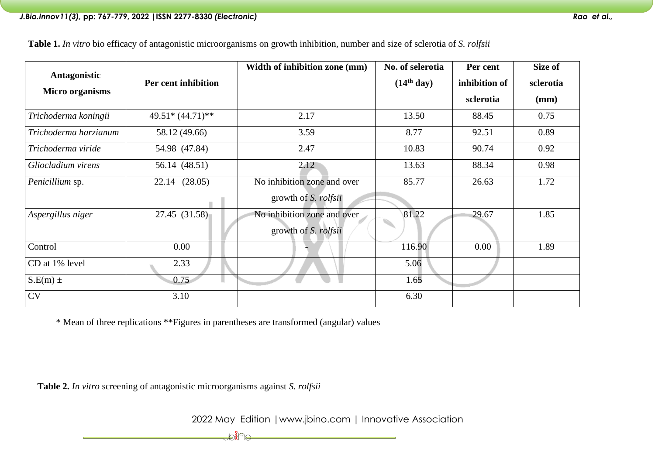**Table 1.** *In vitro* bio efficacy of antagonistic microorganisms on growth inhibition, number and size of sclerotia of *S. rolfsii*

| Antagonistic           |                     | Width of inhibition zone (mm) | No. of selerotia       | Per cent      | Size of   |
|------------------------|---------------------|-------------------------------|------------------------|---------------|-----------|
|                        | Per cent inhibition |                               | (14 <sup>th</sup> day) | inhibition of | sclerotia |
| <b>Micro organisms</b> |                     |                               |                        | sclerotia     | (mm)      |
| Trichoderma koningii   | $49.51*(44.71)**$   | 2.17                          | 13.50                  | 88.45         | 0.75      |
| Trichoderma harzianum  | 58.12 (49.66)       | 3.59                          | 8.77                   | 92.51         | 0.89      |
| Trichoderma viride     | 54.98 (47.84)       | 2.47                          | 10.83                  | 90.74         | 0.92      |
| Gliocladium virens     | 56.14 (48.51)       | 2.12                          | 13.63                  | 88.34         | 0.98      |
| Penicillium sp.        | 22.14 (28.05)       | No inhibition zone and over   | 85.77                  | 26.63         | 1.72      |
|                        |                     | growth of <i>S. rolfsii</i>   |                        |               |           |
| Aspergillus niger      | 27.45 (31.58)       | No inhibition zone and over   | 81.22                  | 29.67         | 1.85      |
|                        |                     | growth of <i>S. rolfsii</i>   |                        |               |           |
| Control                | 0.00                |                               | 116.90                 | 0.00          | 1.89      |
| CD at 1% level         | 2.33                |                               | 5.06                   |               |           |
| $S.E(m) \pm$           | 0.75                |                               | 1.65                   |               |           |
| <b>CV</b>              | 3.10                |                               | 6.30                   |               |           |

\* Mean of three replications \*\*Figures in parentheses are transformed (angular) values

Holi Te

 **Table 2.** *In vitro* screening of antagonistic microorganisms against *S. rolfsii*

2022 May Edition |www.jbino.com | Innovative Association <u> 1989 - Johann Barn, mars eta bainar eta idazlea (</u>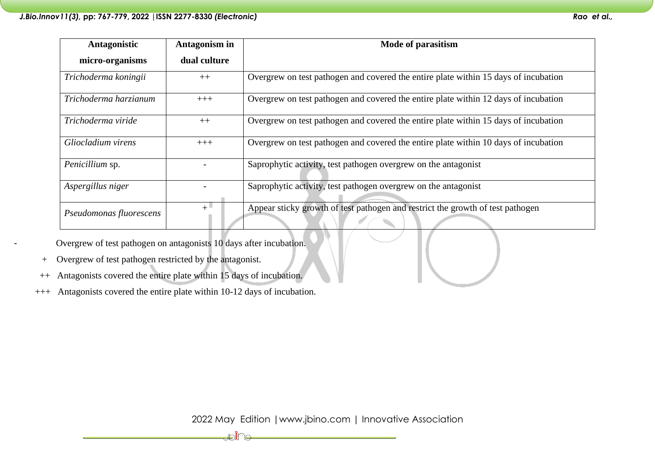| Antagonistic            | Antagonism in | Mode of parasitism                                                                  |  |
|-------------------------|---------------|-------------------------------------------------------------------------------------|--|
| micro-organisms         | dual culture  |                                                                                     |  |
| Trichoderma koningii    | $++$          | Overgrew on test pathogen and covered the entire plate within 15 days of incubation |  |
| Trichoderma harzianum   | $+++$         | Overgrew on test pathogen and covered the entire plate within 12 days of incubation |  |
| Trichoderma viride      | $++$          | Overgrew on test pathogen and covered the entire plate within 15 days of incubation |  |
| Gliocladium virens      | $+++$         | Overgrew on test pathogen and covered the entire plate within 10 days of incubation |  |
| Penicillium sp.         |               | Saprophytic activity, test pathogen overgrew on the antagonist                      |  |
| Aspergillus niger       |               | Saprophytic activity, test pathogen overgrew on the antagonist                      |  |
| Pseudomonas fluorescens | $+$           | Appear sticky growth of test pathogen and restrict the growth of test pathogen      |  |

Overgrew of test pathogen on antagonists 10 days after incubation.

- + Overgrew of test pathogen restricted by the antagonist.
- ++ Antagonists covered the entire plate within 15 days of incubation.
- +++ Antagonists covered the entire plate within 10-12 days of incubation.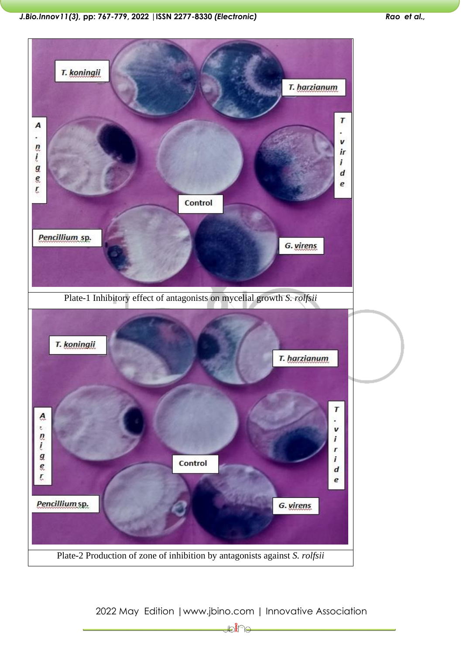*J.Bio.Innov11(3),* **pp: 767-779, 2022 |ISSN 2277-8330** *(Electronic) Rao et al.,*



2022 May Edition |www.jbino.com | Innovative Association

₽₽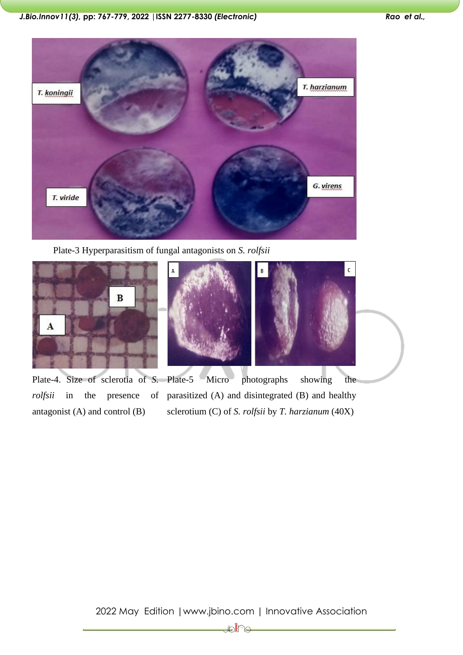

Plate-3 Hyperparasitism of fungal antagonists on *S. rolfsii*



*rolfsii* in the presence of antagonist (A) and control (B)



Plate-4. Size of sclerotia of *S.*  Plate-5 Micro photographs showing the parasitized (A) and disintegrated (B) and healthy sclerotium (C) of *S. rolfsii* by *T. harzianum* (40X)